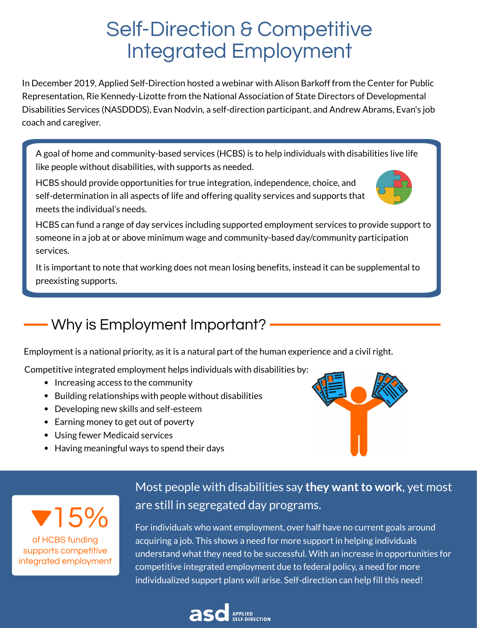In December 2019, Applied Self-Direction hosted a webinar with Alison Barkoff from the Center for Public Representation, Rie Kennedy-Lizotte from the National Association of State Directors of Developmental Disabilities Services (NASDDDS), Evan Nodvin, a self-direction participant, and Andrew Abrams, Evan's job coach and caregiver.

## Self-Direction & Competitive Integrated Employment

- Increasing access to the community
- Building relationships with people without disabilities
- Developing new skills and self-esteem
- Earning money to get out of poverty
- Using fewer Medicaid services
- Having meaningful ways to spend their days



**V** 15%

A goal of home and community-based services (HCBS) is to help individuals with disabilities live life like people without disabilities, with supports as needed.

> Most people with disabilities say they want to work, yet most are still in segregated day programs.

HCBS can fund a range of day services including supported employment services to provide support to someone in a job at or above minimum wage and community-based day/community participation services.

HCBS should provide opportunities for true integration, independence, choice, and self-determination in all aspects of life and offering quality services and supports that meets the individual's needs.



It is important to note that working does not mean losing benefits, instead it can be supplemental to preexisting supports.

> For individuals who want employment, over half have no current goals around acquiring a job. This shows a need for more support in helping individuals understand what they need to be successful. With an increase in opportunities for competitive integrated employment due to federal policy, a need for more individualized support plans will arise. Self-direction can help fill this need!



## Why is Employment Important?

Employment is a national priority, as it is a natural part of the human experience and a civil right.

Competitive integrated employment helps individuals with disabilities by:

of HCBS funding supports competitive integrated employment